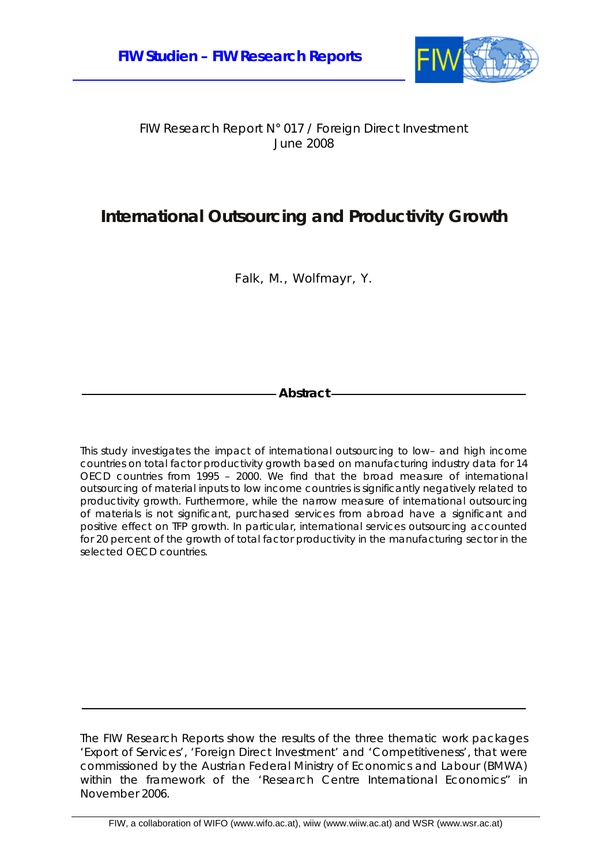

FIW Research Report N° 017 / Foreign Direct Investment June 2008

### **International Outsourcing and Productivity Growth**

Falk, M., Wolfmayr, Y.

**Abstract** 

This study investigates the impact of international outsourcing to low– and high income countries on total factor productivity growth based on manufacturing industry data for 14 OECD countries from 1995 – 2000. We find that the broad measure of international outsourcing of material inputs to low income countries is significantly negatively related to productivity growth. Furthermore, while the narrow measure of international outsourcing of materials is not significant, purchased services from abroad have a significant and positive effect on TFP growth. In particular, international services outsourcing accounted for 20 percent of the growth of total factor productivity in the manufacturing sector in the selected OECD countries.

The FIW Research Reports show the results of the three thematic work packages 'Export of Services', 'Foreign Direct Investment' and 'Competitiveness', that were commissioned by the Austrian Federal Ministry of Economics and Labour (BMWA) within the framework of the 'Research Centre International Economics" in November 2006.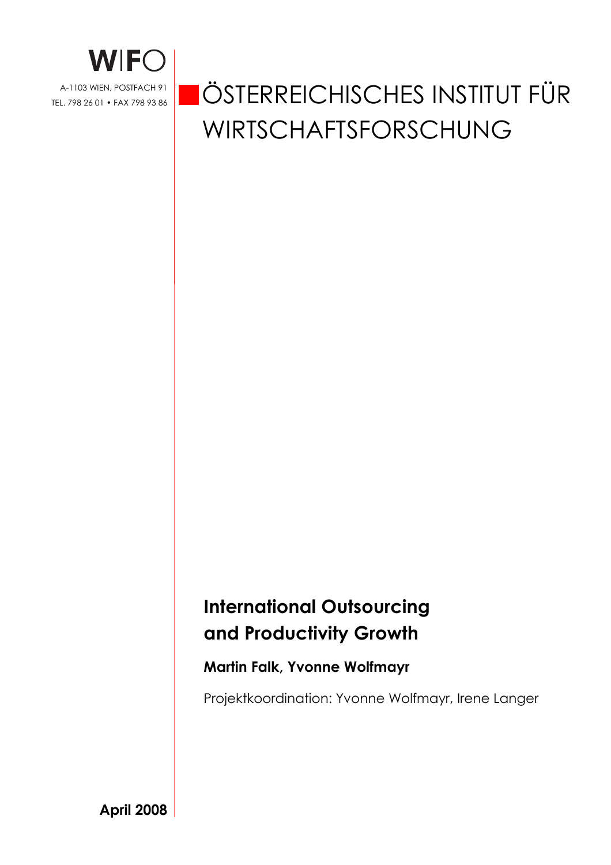

# ÖSTERREICHISCHES INSTITUT FÜR WIRTSCHAFTSFORSCHUNG

## **International Outsourcing and Productivity Growth**

### **Martin Falk, Yvonne Wolfmayr**

Projektkoordination: Yvonne Wolfmayr, Irene Langer

**April 2008**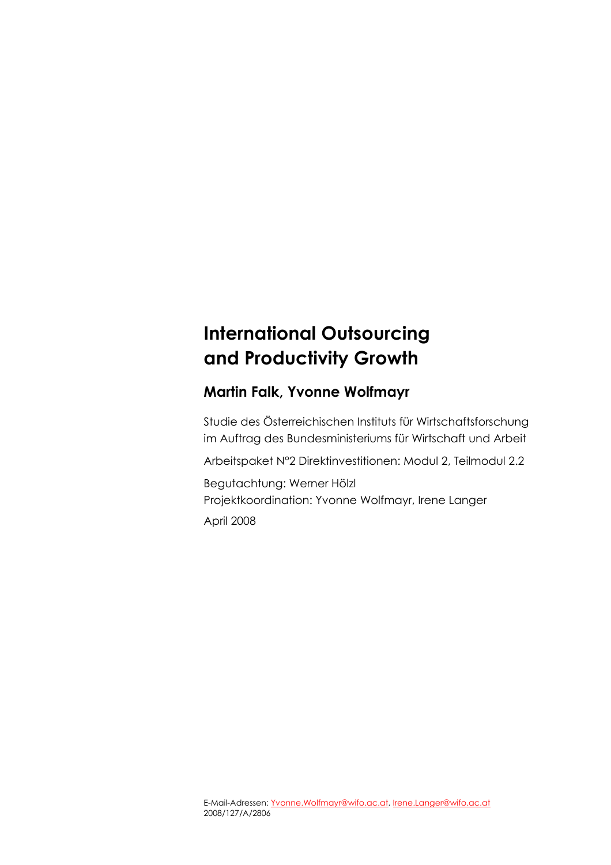### **International Outsourcing and Productivity Growth**

#### **Martin Falk, Yvonne Wolfmayr**

Studie des Österreichischen Instituts für Wirtschaftsforschung im Auftrag des Bundesministeriums für Wirtschaft und Arbeit

Arbeitspaket N°2 Direktinvestitionen: Modul 2, Teilmodul 2.2

Begutachtung: Werner Hölzl Projektkoordination: Yvonne Wolfmayr, Irene Langer

April 2008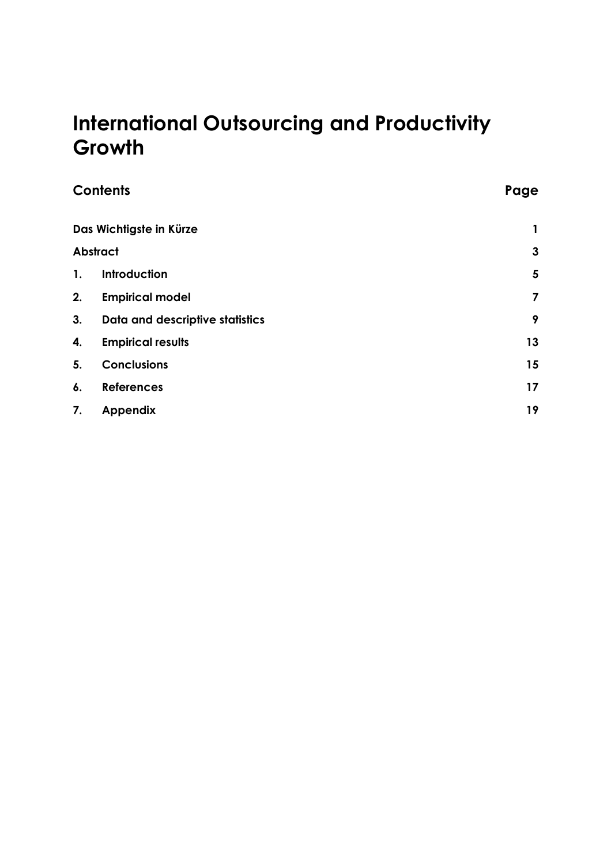### **International Outsourcing and Productivity Growth**

|                | <b>Contents</b>                 | Page         |
|----------------|---------------------------------|--------------|
|                | Das Wichtigste in Kürze         | 1            |
|                | <b>Abstract</b>                 | $\mathbf{3}$ |
| $\mathbf{1}$ . | Introduction                    | 5            |
| 2.             | <b>Empirical model</b>          | 7            |
| 3.             | Data and descriptive statistics | 9            |
| 4.             | <b>Empirical results</b>        | 13           |
| 5.             | <b>Conclusions</b>              | 15           |
| 6.             | <b>References</b>               | 17           |
| 7.             | <b>Appendix</b>                 | 19           |
|                |                                 |              |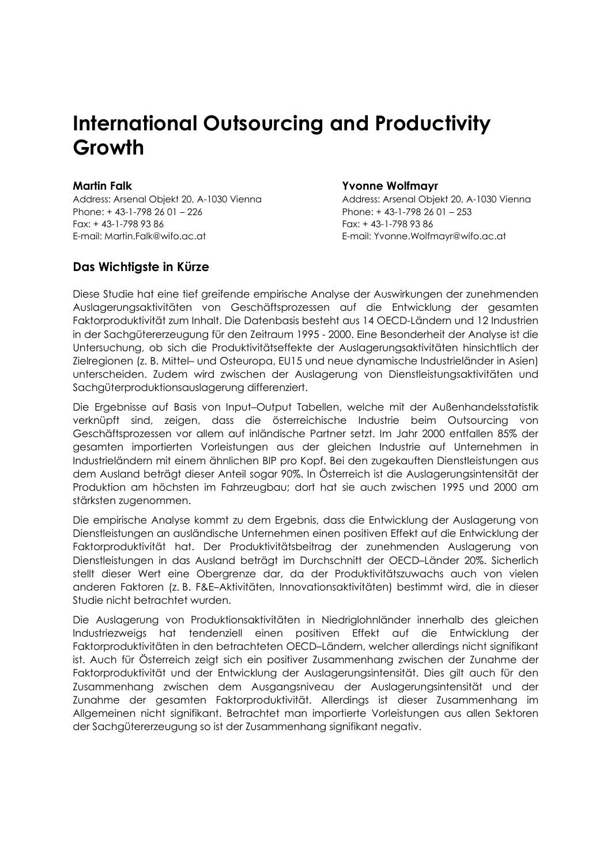### **International Outsourcing and Productivity Growth**

Address: Arsenal Objekt 20, A-1030 Vienna Address: Arsenal Objekt 20, A-1030 Vienna Phone: + 43-1-798 26 01 – 226 Phone: + 43-1-798 26 01 – 253 Fax: + 43-1-798 93 86 Fax: + 43-1-798 93 86 E-mail: Martin.Falk@wifo.ac.at E-mail: Yvonne.Wolfmayr@wifo.ac.at

#### **Das Wichtigste in Kürze**

#### **Martin Falk Yvonne Wolfmayr**

Diese Studie hat eine tief greifende empirische Analyse der Auswirkungen der zunehmenden Auslagerungsaktivitäten von Geschäftsprozessen auf die Entwicklung der gesamten Faktorproduktivität zum Inhalt. Die Datenbasis besteht aus 14 OECD-Ländern und 12 Industrien in der Sachgütererzeugung für den Zeitraum 1995 - 2000. Eine Besonderheit der Analyse ist die Untersuchung, ob sich die Produktivitätseffekte der Auslagerungsaktivitäten hinsichtlich der Zielregionen (z. B. Mittel– und Osteuropa, EU15 und neue dynamische Industrieländer in Asien) unterscheiden. Zudem wird zwischen der Auslagerung von Dienstleistungsaktivitäten und Sachgüterproduktionsauslagerung differenziert.

Die Ergebnisse auf Basis von Input–Output Tabellen, welche mit der Außenhandelsstatistik verknüpft sind, zeigen, dass die österreichische Industrie beim Outsourcing von Geschäftsprozessen vor allem auf inländische Partner setzt. Im Jahr 2000 entfallen 85% der gesamten importierten Vorleistungen aus der gleichen Industrie auf Unternehmen in Industrieländern mit einem ähnlichen BIP pro Kopf. Bei den zugekauften Dienstleistungen aus dem Ausland beträgt dieser Anteil sogar 90%. In Österreich ist die Auslagerungsintensität der Produktion am höchsten im Fahrzeugbau; dort hat sie auch zwischen 1995 und 2000 am stärksten zugenommen.

Die empirische Analyse kommt zu dem Ergebnis, dass die Entwicklung der Auslagerung von Dienstleistungen an ausländische Unternehmen einen positiven Effekt auf die Entwicklung der Faktorproduktivität hat. Der Produktivitätsbeitrag der zunehmenden Auslagerung von Dienstleistungen in das Ausland beträgt im Durchschnitt der OECD–Länder 20%. Sicherlich stellt dieser Wert eine Obergrenze dar, da der Produktivitätszuwachs auch von vielen anderen Faktoren (z. B. F&E–Aktivitäten, Innovationsaktivitäten) bestimmt wird, die in dieser Studie nicht betrachtet wurden.

Die Auslagerung von Produktionsaktivitäten in Niedriglohnländer innerhalb des gleichen Industriezweigs hat tendenziell einen positiven Effekt auf die Entwicklung der Faktorproduktivitäten in den betrachteten OECD–Ländern, welcher allerdings nicht signifikant ist. Auch für Österreich zeigt sich ein positiver Zusammenhang zwischen der Zunahme der Faktorproduktivität und der Entwicklung der Auslagerungsintensität. Dies gilt auch für den Zusammenhang zwischen dem Ausgangsniveau der Auslagerungsintensität und der Zunahme der gesamten Faktorproduktivität. Allerdings ist dieser Zusammenhang im Allgemeinen nicht signifikant. Betrachtet man importierte Vorleistungen aus allen Sektoren der Sachgütererzeugung so ist der Zusammenhang signifikant negativ.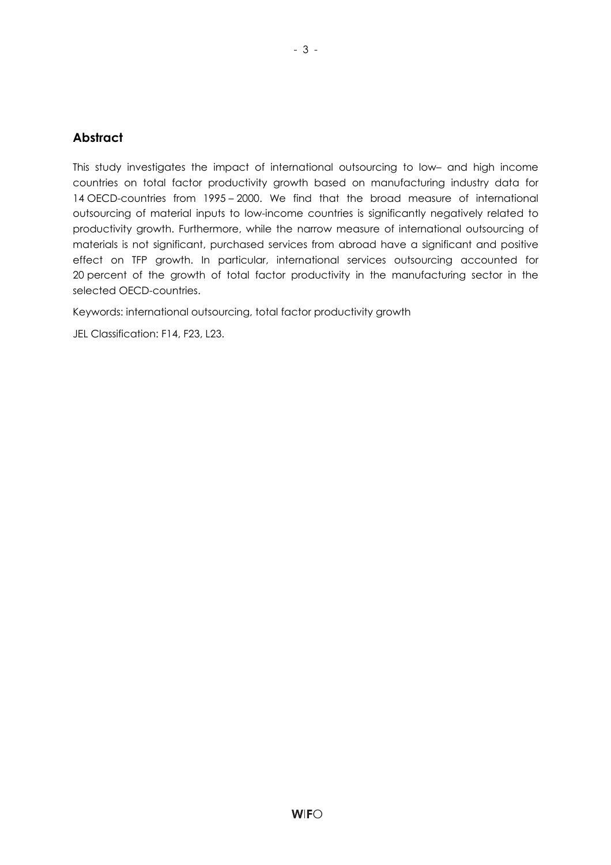#### **Abstract**

This study investigates the impact of international outsourcing to low– and high income countries on total factor productivity growth based on manufacturing industry data for 14 OECD-countries from 1995 – 2000. We find that the broad measure of international outsourcing of material inputs to low-income countries is significantly negatively related to productivity growth. Furthermore, while the narrow measure of international outsourcing of materials is not significant, purchased services from abroad have a significant and positive effect on TFP growth. In particular, international services outsourcing accounted for 20 percent of the growth of total factor productivity in the manufacturing sector in the selected OECD-countries.

Keywords: international outsourcing, total factor productivity growth

JEL Classification: F14, F23, L23.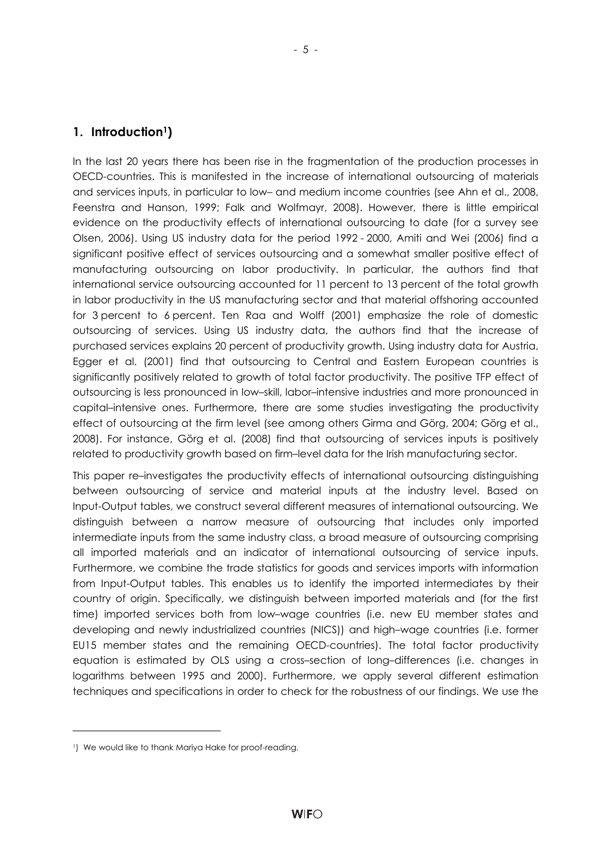#### **1. Introduction1)**

In the last 20 years there has been rise in the fragmentation of the production processes in OECD-countries. This is manifested in the increase of international outsourcing of materials and services inputs, in particular to low– and medium income countries (see Ahn et al., 2008, Feenstra and Hanson, 1999; Falk and Wolfmayr, 2008). However, there is little empirical evidence on the productivity effects of international outsourcing to date (for a survey see Olsen, 2006). Using US industry data for the period 1992 - 2000, Amiti and Wei (2006) find a significant positive effect of services outsourcing and a somewhat smaller positive effect of manufacturing outsourcing on labor productivity. In particular, the authors find that international service outsourcing accounted for 11 percent to 13 percent of the total growth in labor productivity in the US manufacturing sector and that material offshoring accounted for 3 percent to 6 percent. Ten Raa and Wolff (2001) emphasize the role of domestic outsourcing of services. Using US industry data, the authors find that the increase of purchased services explains 20 percent of productivity growth. Using industry data for Austria, Egger et al. (2001) find that outsourcing to Central and Eastern European countries is significantly positively related to growth of total factor productivity. The positive TFP effect of outsourcing is less pronounced in low–skill, labor–intensive industries and more pronounced in capital–intensive ones. Furthermore, there are some studies investigating the productivity effect of outsourcing at the firm level (see among others Girma and Görg, 2004; Görg et al., 2008). For instance, Görg et al. (2008) find that outsourcing of services inputs is positively related to productivity growth based on firm–level data for the Irish manufacturing sector.

This paper re–investigates the productivity effects of international outsourcing distinguishing between outsourcing of service and material inputs at the industry level. Based on Input-Output tables, we construct several different measures of international outsourcing. We distinguish between a narrow measure of outsourcing that includes only imported intermediate inputs from the same industry class, a broad measure of outsourcing comprising all imported materials and an indicator of international outsourcing of service inputs. Furthermore, we combine the trade statistics for goods and services imports with information from Input-Output tables. This enables us to identify the imported intermediates by their country of origin. Specifically, we distinguish between imported materials and (for the first time) imported services both from low–wage countries (i.e. new EU member states and developing and newly industrialized countries (NICS)) and high–wage countries (i.e. former EU15 member states and the remaining OECD-countries). The total factor productivity equation is estimated by OLS using a cross–section of long–differences (i.e. changes in logarithms between 1995 and 2000). Furthermore, we apply several different estimation techniques and specifications in order to check for the robustness of our findings. We use the

l

<sup>1)</sup> We would like to thank Mariya Hake for proof-reading.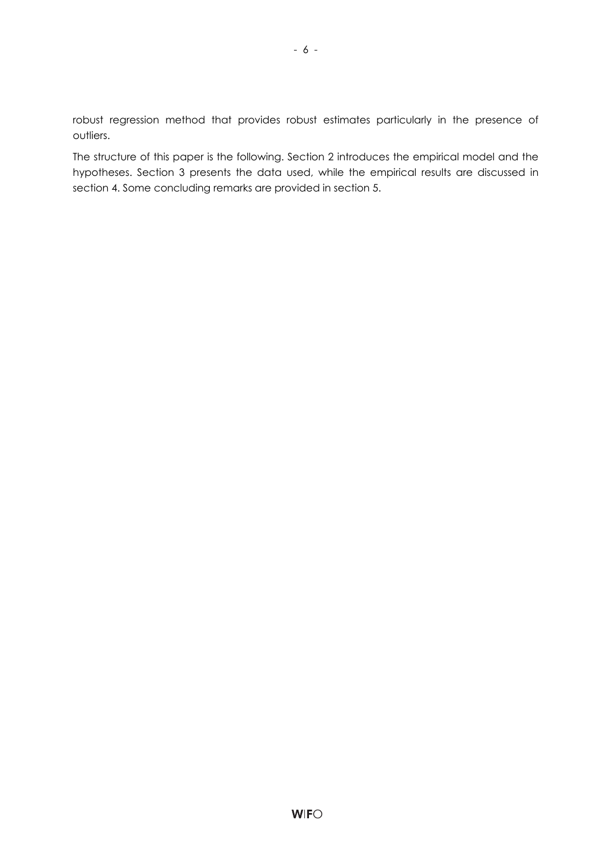robust regression method that provides robust estimates particularly in the presence of outliers.

- 6 -

The structure of this paper is the following. Section 2 introduces the empirical model and the hypotheses. Section 3 presents the data used, while the empirical results are discussed in section 4. Some concluding remarks are provided in section 5.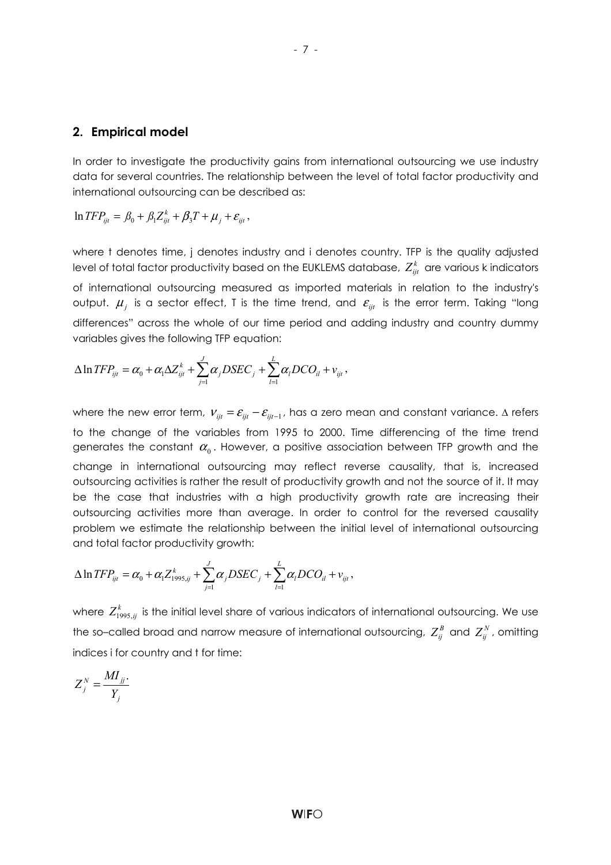#### **2. Empirical model**

In order to investigate the productivity gains from international outsourcing we use industry data for several countries. The relationship between the level of total factor productivity and international outsourcing can be described as:

 $\ln TFP_{ijt} = \beta_0 + \beta_1 Z_{ijt}^k + \beta_3 T + \mu_j + \varepsilon_{ijt}$ ,

where t denotes time, j denotes industry and i denotes country. TFP is the quality adjusted level of total factor productivity based on the EUKLEMS database,  $Z_{\scriptscriptstyle{irr}}^k$  are various k indicators of international outsourcing measured as imported materials in relation to the industry's output.  $\mu_i$  is a sector effect, T is the time trend, and  $\varepsilon_{ii}$  is the error term. Taking "long differences" across the whole of our time period and adding industry and country dummy variables gives the following TFP equation:

$$
\Delta \ln TFP_{ijt} = \alpha_0 + \alpha_1 \Delta Z_{ijt}^k + \sum_{j=1}^J \alpha_j DSEC_j + \sum_{l=1}^L \alpha_l DCO_{il} + v_{ijt},
$$

where the new error term,  $v_{ijt} = \varepsilon_{ijt} - \varepsilon_{ijt-1}$ , has a zero mean and constant variance.  $\Delta$  refers to the change of the variables from 1995 to 2000. Time differencing of the time trend generates the constant  $\alpha_0$ . However, a positive association between TFP growth and the change in international outsourcing may reflect reverse causality, that is, increased outsourcing activities is rather the result of productivity growth and not the source of it. It may be the case that industries with a high productivity growth rate are increasing their outsourcing activities more than average. In order to control for the reversed causality problem we estimate the relationship between the initial level of international outsourcing and total factor productivity growth:

$$
\Delta \ln TFP_{ijt} = \alpha_0 + \alpha_1 Z_{1995,ij}^k + \sum_{j=1}^J \alpha_j DSEC_j + \sum_{l=1}^L \alpha_l DCO_{il} + v_{ijt},
$$

where  $Z_{1995,jj}^k$  is the initial level share of various indicators of international outsourcing. We use the so–called broad and narrow measure of international outsourcing,  $Z_{ij}^B$  and  $Z_{ij}^N$ , omitting indices i for country and t for time:

$$
Z_j^N = \frac{MI_{jj}}{Y_j}
$$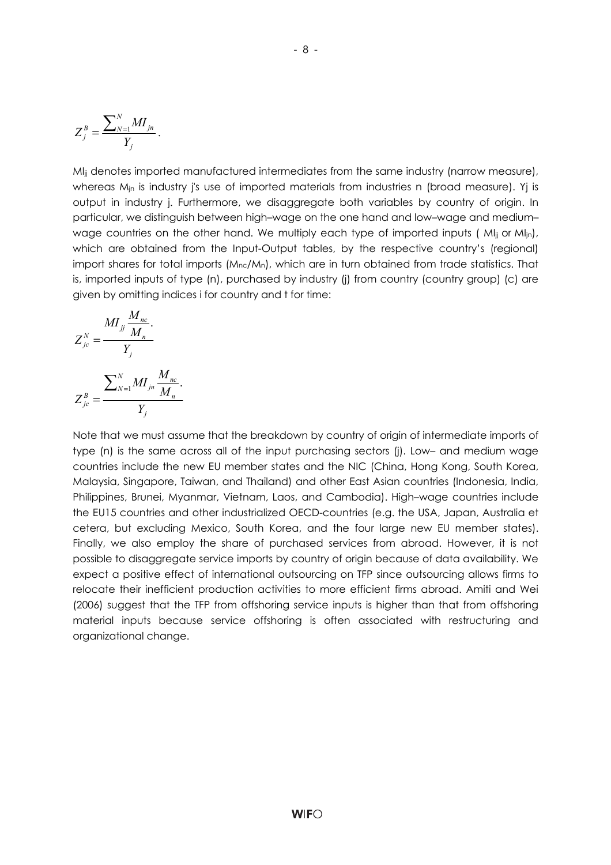$$
Z_j^B = \frac{\sum_{N=1}^N MI_{jn}}{Y_j}.
$$

MI<sub>jj</sub> denotes imported manufactured intermediates from the same industry (narrow measure), whereas M<sub>in</sub> is industry j's use of imported materials from industries n (broad measure). Yi is output in industry j. Furthermore, we disaggregate both variables by country of origin. In particular, we distinguish between high–wage on the one hand and low–wage and medium– wage countries on the other hand. We multiply each type of imported inputs ( $M_{\text{li}}$  or  $M_{\text{lin}}$ ), which are obtained from the Input-Output tables, by the respective country's (regional) import shares for total imports (M<sub>nc</sub>/M<sub>n</sub>), which are in turn obtained from trade statistics. That is, imported inputs of type (n), purchased by industry (j) from country (country group) (c) are given by omitting indices i for country and t for time:

$$
Z_{jc}^{N} = \frac{MI_{jj} \frac{M_{nc}}{M_{n}}}{Y_{j}}
$$

$$
Z_{jc}^{B} = \frac{\sum_{N=1}^{N} MI_{jn} \frac{M_{nc}}{M_{n}}}{Y_{j}}
$$

Note that we must assume that the breakdown by country of origin of intermediate imports of type (n) is the same across all of the input purchasing sectors (j). Low– and medium wage countries include the new EU member states and the NIC (China, Hong Kong, South Korea, Malaysia, Singapore, Taiwan, and Thailand) and other East Asian countries (Indonesia, India, Philippines, Brunei, Myanmar, Vietnam, Laos, and Cambodia). High–wage countries include the EU15 countries and other industrialized OECD-countries (e.g. the USA, Japan, Australia et cetera, but excluding Mexico, South Korea, and the four large new EU member states). Finally, we also employ the share of purchased services from abroad. However, it is not possible to disaggregate service imports by country of origin because of data availability. We expect a positive effect of international outsourcing on TFP since outsourcing allows firms to relocate their inefficient production activities to more efficient firms abroad. Amiti and Wei (2006) suggest that the TFP from offshoring service inputs is higher than that from offshoring material inputs because service offshoring is often associated with restructuring and organizational change.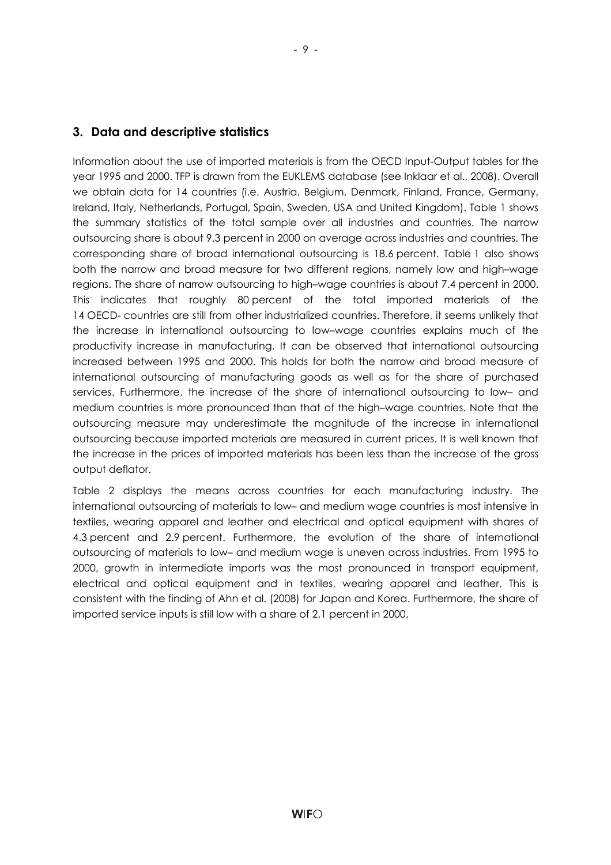Information about the use of imported materials is from the OECD Input-Output tables for the year 1995 and 2000. TFP is drawn from the EUKLEMS database (see Inklaar et al., 2008). Overall we obtain data for 14 countries (i.e. Austria, Belgium, Denmark, Finland, France, Germany, Ireland, Italy, Netherlands, Portugal, Spain, Sweden, USA and United Kingdom). Table 1 shows the summary statistics of the total sample over all industries and countries. The narrow outsourcing share is about 9.3 percent in 2000 on average across industries and countries. The corresponding share of broad international outsourcing is 18.6 percent. Table 1 also shows both the narrow and broad measure for two different regions, namely low and high–wage regions. The share of narrow outsourcing to high–wage countries is about 7.4 percent in 2000. This indicates that roughly 80 percent of the total imported materials of the 14 OECD- countries are still from other industrialized countries. Therefore, it seems unlikely that the increase in international outsourcing to low–wage countries explains much of the productivity increase in manufacturing. It can be observed that international outsourcing increased between 1995 and 2000. This holds for both the narrow and broad measure of international outsourcing of manufacturing goods as well as for the share of purchased services. Furthermore, the increase of the share of international outsourcing to low– and medium countries is more pronounced than that of the high–wage countries. Note that the outsourcing measure may underestimate the magnitude of the increase in international outsourcing because imported materials are measured in current prices. It is well known that the increase in the prices of imported materials has been less than the increase of the gross output deflator.

Table 2 displays the means across countries for each manufacturing industry. The international outsourcing of materials to low– and medium wage countries is most intensive in textiles, wearing apparel and leather and electrical and optical equipment with shares of 4.3 percent and 2.9 percent. Furthermore, the evolution of the share of international outsourcing of materials to low– and medium wage is uneven across industries. From 1995 to 2000, growth in intermediate imports was the most pronounced in transport equipment, electrical and optical equipment and in textiles, wearing apparel and leather. This is consistent with the finding of Ahn et al. (2008) for Japan and Korea. Furthermore, the share of imported service inputs is still low with a share of 2.1 percent in 2000.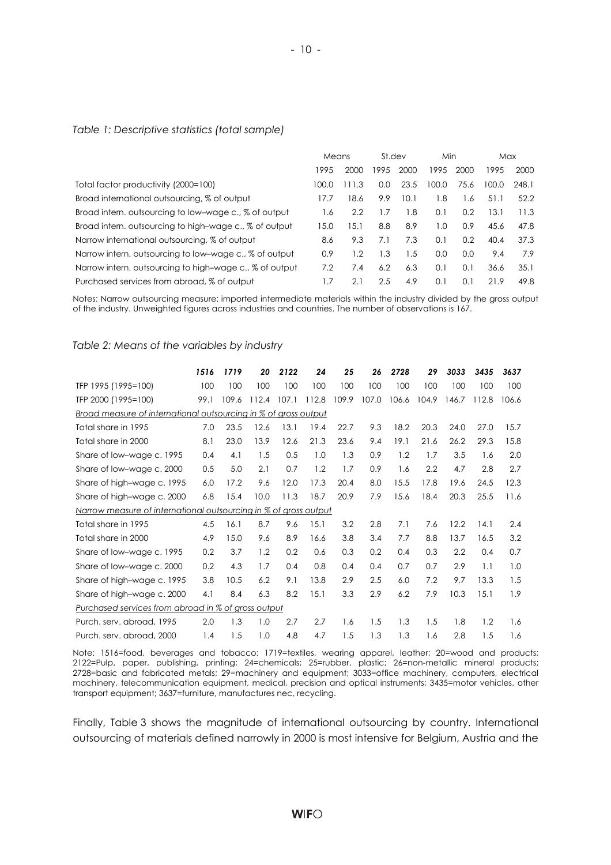#### *Table 1: Descriptive statistics (total sample)*

|                                                         | Means |      | St.dev |      | Min   |      | Max   |       |
|---------------------------------------------------------|-------|------|--------|------|-------|------|-------|-------|
|                                                         | 1995  | 2000 | 1995   | 2000 | 1995  | 2000 | 1995  | 2000  |
| Total factor productivity (2000=100)                    | 100.0 | 11.3 | 0.0    | 23.5 | 100.0 | 75.6 | 100.0 | 248.1 |
| Broad international outsourcing, % of output            | 17.7  | 18.6 | 9.9    | 10.1 | 1.8   | 1.6  | 51.1  | 52.2  |
| Broad intern, outsourcing to low-wage c., % of output   | 1.6   | 2.2  | 1.7    | 1.8  | 0.1   | 0.2  | 13.1  | 11.3  |
| Broad intern, outsourcing to high-wage c., % of output  | 15.0  | 5.1  | 8.8    | 8.9  | 1.0   | 0.9  | 45.6  | 47.8  |
| Narrow international outsourcing, % of output           | 8.6   | 9.3  | 7.1    | 7.3  | 0.1   | 0.2  | 40.4  | 37.3  |
| Narrow intern, outsourcing to low-wage c., % of output  | 0.9   | 1.2  | 1.3    | 1.5  | 0.0   | 0.0  | 9.4   | 7.9   |
| Narrow intern, outsourcing to high-wage c., % of output | 7.2   | 7.4  | 6.2    | 6.3  | 0.1   | 0.1  | 36.6  | 35.1  |
| Purchased services from abroad, % of output             |       | 2.1  | 2.5    | 4.9  | 0.1   | 0.1  | 21.9  | 49.8  |

Notes: Narrow outsourcing measure: imported intermediate materials within the industry divided by the gross output of the industry. Unweighted figures across industries and countries. The number of observations is 167.

#### *Table 2: Means of the variables by industry*

|                                                                  | 1516 | 1719  | 20    | 2122  | 24    | 25    | 26    | 2728  | 29    | 3033  | 3435  | 3637  |
|------------------------------------------------------------------|------|-------|-------|-------|-------|-------|-------|-------|-------|-------|-------|-------|
| TFP 1995 (1995=100)                                              | 100  | 100   | 100   | 100   | 100   | 100   | 100   | 100   | 100   | 100   | 100   | 100   |
| TFP 2000 (1995=100)                                              | 99.1 | 109.6 | 112.4 | 107.1 | 112.8 | 109.9 | 107.0 | 106.6 | 104.9 | 146.7 | 112.8 | 106.6 |
| Broad measure of international outsourcing in % of gross output  |      |       |       |       |       |       |       |       |       |       |       |       |
| Total share in 1995                                              | 7.0  | 23.5  | 12.6  | 13.1  | 19.4  | 22.7  | 9.3   | 18.2  | 20.3  | 24.0  | 27.0  | 15.7  |
| Total share in 2000                                              | 8.1  | 23.0  | 13.9  | 12.6  | 21.3  | 23.6  | 9.4   | 19.1  | 21.6  | 26.2  | 29.3  | 15.8  |
| Share of low-wage c. 1995                                        | 0.4  | 4.1   | 1.5   | 0.5   | 1.0   | 1.3   | 0.9   | 1.2   | 1.7   | 3.5   | 1.6   | 2.0   |
| Share of low-wage c. 2000                                        | 0.5  | 5.0   | 2.1   | 0.7   | 1.2   | 1.7   | 0.9   | 1.6   | 2.2   | 4.7   | 2.8   | 2.7   |
| Share of high-wage c. 1995                                       | 6.0  | 17.2  | 9.6   | 12.0  | 17.3  | 20.4  | 8.0   | 15.5  | 17.8  | 19.6  | 24.5  | 12.3  |
| Share of high-wage c. 2000                                       | 6.8  | 15.4  | 10.0  | 11.3  | 18.7  | 20.9  | 7.9   | 15.6  | 18.4  | 20.3  | 25.5  | 11.6  |
| Narrow measure of international outsourcing in % of gross output |      |       |       |       |       |       |       |       |       |       |       |       |
| Total share in 1995                                              | 4.5  | 16.1  | 8.7   | 9.6   | 15.1  | 3.2   | 2.8   | 7.1   | 7.6   | 12.2  | 14.1  | 2.4   |
| Total share in 2000                                              | 4.9  | 15.0  | 9.6   | 8.9   | 16.6  | 3.8   | 3.4   | 7.7   | 8.8   | 13.7  | 16.5  | 3.2   |
| Share of low-wage c. 1995                                        | 0.2  | 3.7   | 1.2   | 0.2   | 0.6   | 0.3   | 0.2   | 0.4   | 0.3   | 2.2   | 0.4   | 0.7   |
| Share of low-wage c. 2000                                        | 0.2  | 4.3   | 1.7   | 0.4   | 0.8   | 0.4   | 0.4   | 0.7   | 0.7   | 2.9   | 1.1   | 1.0   |
| Share of high-wage c. 1995                                       | 3.8  | 10.5  | 6.2   | 9.1   | 13.8  | 2.9   | 2.5   | 6.0   | 7.2   | 9.7   | 13.3  | 1.5   |
| Share of high-wage c. 2000                                       | 4.1  | 8.4   | 6.3   | 8.2   | 15.1  | 3.3   | 2.9   | 6.2   | 7.9   | 10.3  | 15.1  | 1.9   |
| Purchased services from abroad in % of gross output              |      |       |       |       |       |       |       |       |       |       |       |       |
| Purch. serv. abroad, 1995                                        | 2.0  | 1.3   | 1.0   | 2.7   | 2.7   | 1.6   | 1.5   | 1.3   | 1.5   | 1.8   | 1.2   | 1.6   |
| Purch, serv. abroad, 2000                                        | 1.4  | 1.5   | 1.0   | 4.8   | 4.7   | 1.5   | 1.3   | 1.3   | 1.6   | 2.8   | 1.5   | 1.6   |

Note: 1516=food, beverages and tobacco; 1719=textiles, wearing apparel, leather; 20=wood and products; 2122=Pulp, paper, publishing, printing; 24=chemicals; 25=rubber, plastic; 26=non-metallic mineral products; 2728=basic and fabricated metals; 29=machinery and equipment; 3033=office machinery, computers, electrical machinery, telecommunication equipment, medical, precision and optical instruments; 3435=motor vehicles, other transport equipment; 3637=furniture, manufactures nec, recycling.

Finally, Table 3 shows the magnitude of international outsourcing by country. International outsourcing of materials defined narrowly in 2000 is most intensive for Belgium, Austria and the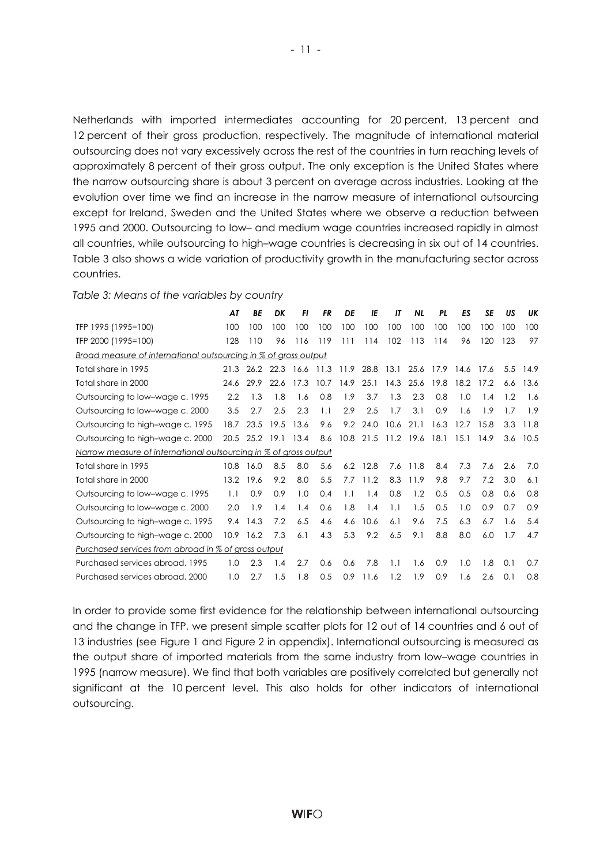Netherlands with imported intermediates accounting for 20 percent, 13 percent and 12 percent of their gross production, respectively. The magnitude of international material outsourcing does not vary excessively across the rest of the countries in turn reaching levels of approximately 8 percent of their gross output. The only exception is the United States where the narrow outsourcing share is about 3 percent on average across industries. Looking at the evolution over time we find an increase in the narrow measure of international outsourcing except for Ireland, Sweden and the United States where we observe a reduction between 1995 and 2000. Outsourcing to low– and medium wage countries increased rapidly in almost all countries, while outsourcing to high–wage countries is decreasing in six out of 14 countries. Table 3 also shows a wide variation of productivity growth in the manufacturing sector across countries.

*Table 3: Means of the variables by country* 

|                                                                  | AT   | ΒE        | DK   | FI   | FR   | DE   | IE   | IΤ        | <b>NL</b> | PL.  | ES   | SE   | US  | UK   |
|------------------------------------------------------------------|------|-----------|------|------|------|------|------|-----------|-----------|------|------|------|-----|------|
| TFP 1995 (1995=100)                                              | 100  | 100       | 100  | 100  | 100  | 100  | 100  | 100       | 100       | 100  | 100  | 100  | 100 | 100  |
| TFP 2000 (1995=100)                                              | 128  | 110       | 96   | 116  | 119  | 111  | 114  | 102       | 113       | 114  | 96   | 120  | 123 | 97   |
| Broad measure of international outsourcing in % of gross output  |      |           |      |      |      |      |      |           |           |      |      |      |     |      |
| Total share in 1995                                              | 21.3 | 26.2 22.3 |      | 16.6 | 11.3 | 11.9 | 28.8 | 13.1      | 25.6      | 17.9 | 14.6 | 17.6 | 5.5 | 14.9 |
| Total share in 2000                                              | 24.6 | 29.9      | 22.6 | 17.3 | 10.7 | 14.9 | 25.1 | 14.3      | 25.6      | 19.8 | 18.2 | 17.2 | 6.6 | 13.6 |
| Outsourcing to low-wage c. 1995                                  | 2.2  | 1.3       | 1.8  | 1.6  | 0.8  | 1.9  | 3.7  | 1.3       | 2.3       | 0.8  | 1.0  | 1.4  | 1.2 | 1.6  |
| Outsourcing to low-wage c. 2000                                  | 3.5  | 2.7       | 2.5  | 2.3  | 1.1  | 2.9  | 2.5  | 1.7       | 3.1       | 0.9  | 1.6  | 1.9  | 1.7 | 1.9  |
| Outsourcing to high-wage c. 1995                                 | 18.7 | 23.5      | 19.5 | 13.6 | 9.6  | 9.2  | 24.0 | 10.6      | 21.1      | 16.3 | 12.7 | 15.8 | 3.3 | 11.8 |
| Outsourcing to high-wage c. 2000                                 | 20.5 | 25.2      | 19.1 | 13.4 | 8.6  | 10.8 | 21.5 | 11.2 19.6 |           | 18.1 | 15.1 | 14.9 | 3.6 | 10.5 |
| Narrow measure of international outsourcing in % of gross output |      |           |      |      |      |      |      |           |           |      |      |      |     |      |
| Total share in 1995                                              | 10.8 | 16.0      | 8.5  | 8.0  | 5.6  | 6.2  | 12.8 | 7.6       | 11.8      | 8.4  | 7.3  | 7.6  | 2.6 | 7.0  |
| Total share in 2000                                              | 13.2 | 19.6      | 9.2  | 8.0  | 5.5  | 7.7  | 11.2 | 8.3       | 11.9      | 9.8  | 9.7  | 7.2  | 3.0 | 6.1  |
| Outsourcing to low-wage c. 1995                                  | 1.1  | 0.9       | 0.9  | 1.0  | 0.4  | 1.1  | 1.4  | 0.8       | 1.2       | 0.5  | 0.5  | 0.8  | 0.6 | 0.8  |
| Outsourcing to low-wage c. 2000                                  | 2.0  | 1.9       | 1.4  | 1.4  | 0.6  | 1.8  | 1.4  | 1.1       | 1.5       | 0.5  | 1.0  | 0.9  | 0.7 | 0.9  |
| Outsourcing to high-wage c. 1995                                 | 9.4  | 14.3      | 7.2  | 6.5  | 4.6  | 4.6  | 10.6 | 6.1       | 9.6       | 7.5  | 6.3  | 6.7  | 1.6 | 5.4  |
| Outsourcing to high-wage c. 2000                                 | 10.9 | 16.2      | 7.3  | 6.1  | 4.3  | 5.3  | 9.2  | 6.5       | 9.1       | 8.8  | 8.0  | 6.0  | 1.7 | 4.7  |
| Purchased services from abroad in % of gross output              |      |           |      |      |      |      |      |           |           |      |      |      |     |      |
| Purchased services abroad, 1995                                  | 1.0  | 2.3       | 1.4  | 2.7  | 0.6  | 0.6  | 7.8  | 1.1       | 1.6       | 0.9  | 1.0  | 1.8  | 0.1 | 0.7  |
| Purchased services abroad, 2000                                  | 1.0  | 2.7       | 1.5  | 1.8  | 0.5  | 0.9  | 11.6 | 1.2       | 1.9       | 0.9  | 1.6  | 2.6  | 0.1 | 0.8  |

In order to provide some first evidence for the relationship between international outsourcing and the change in TFP, we present simple scatter plots for 12 out of 14 countries and 6 out of 13 industries (see Figure 1 and Figure 2 in appendix). International outsourcing is measured as the output share of imported materials from the same industry from low–wage countries in 1995 (narrow measure). We find that both variables are positively correlated but generally not significant at the 10 percent level. This also holds for other indicators of international outsourcing.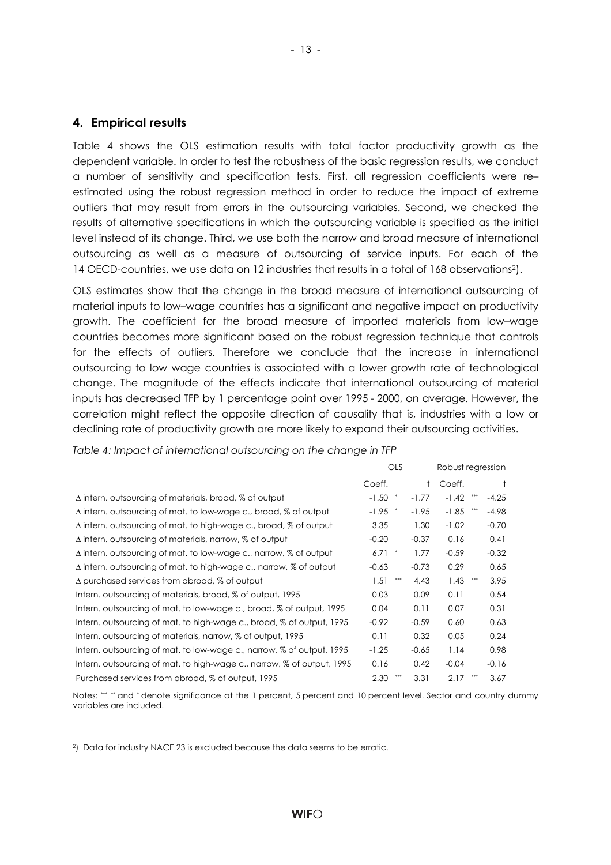#### **4. Empirical results**

Table 4 shows the OLS estimation results with total factor productivity growth as the dependent variable. In order to test the robustness of the basic regression results, we conduct a number of sensitivity and specification tests. First, all regression coefficients were re– estimated using the robust regression method in order to reduce the impact of extreme outliers that may result from errors in the outsourcing variables. Second, we checked the results of alternative specifications in which the outsourcing variable is specified as the initial level instead of its change. Third, we use both the narrow and broad measure of international outsourcing as well as a measure of outsourcing of service inputs. For each of the 14 OECD-countries, we use data on 12 industries that results in a total of 168 observations2).

- 13 -

OLS estimates show that the change in the broad measure of international outsourcing of material inputs to low–wage countries has a significant and negative impact on productivity growth. The coefficient for the broad measure of imported materials from low–wage countries becomes more significant based on the robust regression technique that controls for the effects of outliers. Therefore we conclude that the increase in international outsourcing to low wage countries is associated with a lower growth rate of technological change. The magnitude of the effects indicate that international outsourcing of material inputs has decreased TFP by 1 percentage point over 1995 - 2000, on average. However, the correlation might reflect the opposite direction of causality that is, industries with a low or declining rate of productivity growth are more likely to expand their outsourcing activities.

*Table 4: Impact of international outsourcing on the change in TFP* 

|                                                                              | <b>OLS</b>                   |              | Robust regression |         |
|------------------------------------------------------------------------------|------------------------------|--------------|-------------------|---------|
|                                                                              | Coeff.                       | $^{\dagger}$ | Coeff.            |         |
| $\Delta$ intern. outsourcing of materials, broad, % of output                | $-1.50$<br>$^\ast$           | $-1.77$      | $-1.42$           | $-4.25$ |
| $\Delta$ intern, outsourcing of mat, to low-wage c., broad, $\%$ of output   | -1.95<br>$^{\ast}$           | $-1.95$      | $-1.85$<br>$***$  | $-4.98$ |
| $\Delta$ intern, outsourcing of mat, to high-wage c., broad, $\%$ of output  | 3.35                         | 1.30         | $-1.02$           | $-0.70$ |
| $\Delta$ intern, outsourcing of materials, narrow, $\%$ of output            | $-0.20$                      | $-0.37$      | 0.16              | 0.41    |
| $\Delta$ intern, outsourcing of mat, to low-wage c., narrow, % of output     | 6.71<br>$\ddot{\phantom{1}}$ | 1.77         | $-0.59$           | $-0.32$ |
| $\Delta$ intern. outsourcing of mat. to high-wage c., narrow, $\%$ of output | $-0.63$                      | $-0.73$      | 0.29              | 0.65    |
| $\Delta$ purchased services from abroad, % of output                         | $***$<br>1.51                | 4.43         | 1.43<br>***       | 3.95    |
| Intern, outsourcing of materials, broad, % of output, 1995                   | 0.03                         | 0.09         | 0.11              | 0.54    |
| Intern, outsourcing of mat, to low-wage c., broad, % of output, 1995         | 0.04                         | 0.11         | 0.07              | 0.31    |
| Intern, outsourcing of mat, to high-wage c., broad, % of output, 1995        | $-0.92$                      | $-0.59$      | 0.60              | 0.63    |
| Intern, outsourcing of materials, narrow, % of output, 1995                  | 0.11                         | 0.32         | 0.05              | 0.24    |
| Intern, outsourcing of mat, to low-wage c., narrow, % of output, 1995        | $-1.25$                      | $-0.65$      | 1.14              | 0.98    |
| Intern, outsourcing of mat, to high-wage c., narrow, % of output, 1995       | 0.16                         | 0.42         | $-0.04$           | $-0.16$ |
| Purchased services from abroad, % of output, 1995                            | 2.30                         | 3.31         | 2.17              | 3.67    |

Notes: \*\*, \*\* and \* denote significance at the 1 percent, 5 percent and 10 percent level. Sector and country dummy variables are included.

l

<sup>2)</sup> Data for industry NACE 23 is excluded because the data seems to be erratic.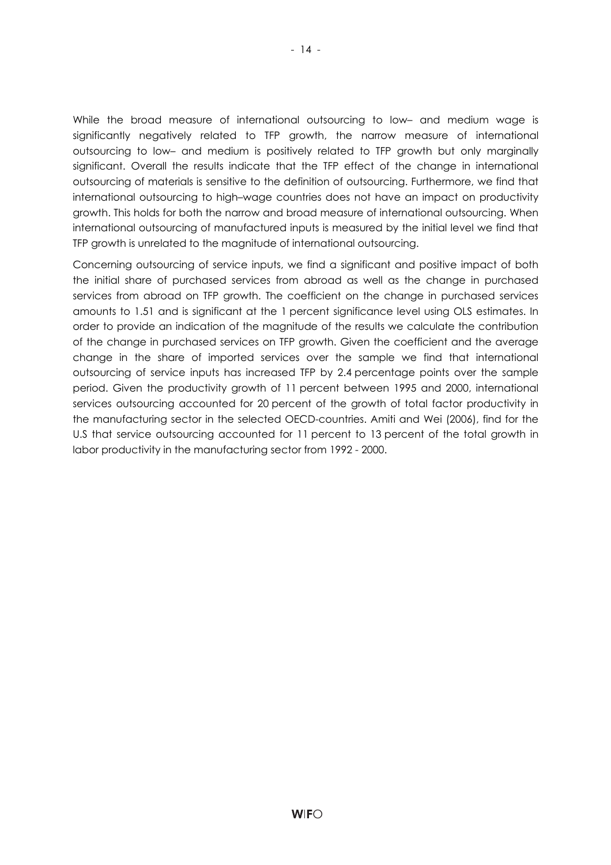While the broad measure of international outsourcing to low– and medium wage is significantly negatively related to TFP growth, the narrow measure of international outsourcing to low– and medium is positively related to TFP growth but only marginally significant. Overall the results indicate that the TFP effect of the change in international outsourcing of materials is sensitive to the definition of outsourcing. Furthermore, we find that international outsourcing to high–wage countries does not have an impact on productivity growth. This holds for both the narrow and broad measure of international outsourcing. When international outsourcing of manufactured inputs is measured by the initial level we find that TFP growth is unrelated to the magnitude of international outsourcing.

Concerning outsourcing of service inputs, we find a significant and positive impact of both the initial share of purchased services from abroad as well as the change in purchased services from abroad on TFP growth. The coefficient on the change in purchased services amounts to 1.51 and is significant at the 1 percent significance level using OLS estimates. In order to provide an indication of the magnitude of the results we calculate the contribution of the change in purchased services on TFP growth. Given the coefficient and the average change in the share of imported services over the sample we find that international outsourcing of service inputs has increased TFP by 2.4 percentage points over the sample period. Given the productivity growth of 11 percent between 1995 and 2000, international services outsourcing accounted for 20 percent of the growth of total factor productivity in the manufacturing sector in the selected OECD-countries. Amiti and Wei (2006), find for the U.S that service outsourcing accounted for 11 percent to 13 percent of the total growth in labor productivity in the manufacturing sector from 1992 - 2000.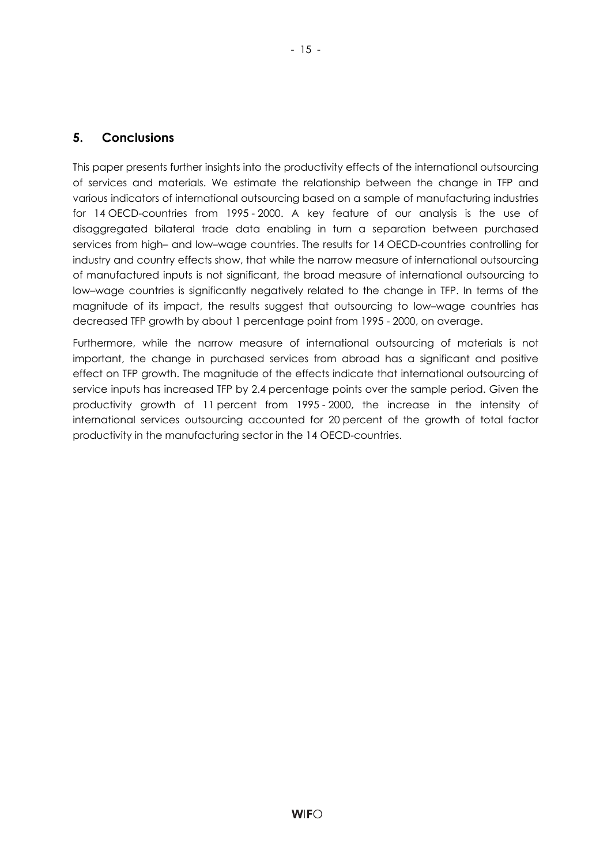#### **5. Conclusions**

This paper presents further insights into the productivity effects of the international outsourcing of services and materials. We estimate the relationship between the change in TFP and various indicators of international outsourcing based on a sample of manufacturing industries for 14 OECD-countries from 1995 - 2000. A key feature of our analysis is the use of disaggregated bilateral trade data enabling in turn a separation between purchased services from high– and low–wage countries. The results for 14 OECD-countries controlling for industry and country effects show, that while the narrow measure of international outsourcing of manufactured inputs is not significant, the broad measure of international outsourcing to low–wage countries is significantly negatively related to the change in TFP. In terms of the magnitude of its impact, the results suggest that outsourcing to low–wage countries has decreased TFP growth by about 1 percentage point from 1995 - 2000, on average.

Furthermore, while the narrow measure of international outsourcing of materials is not important, the change in purchased services from abroad has a significant and positive effect on TFP growth. The magnitude of the effects indicate that international outsourcing of service inputs has increased TFP by 2.4 percentage points over the sample period. Given the productivity growth of 11 percent from 1995 - 2000, the increase in the intensity of international services outsourcing accounted for 20 percent of the growth of total factor productivity in the manufacturing sector in the 14 OECD-countries.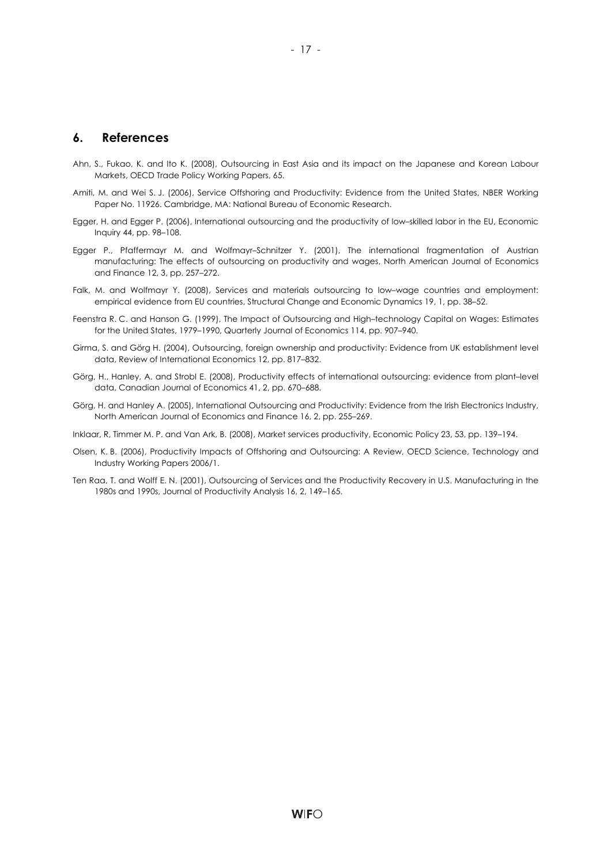#### **6. References**

- Ahn, S., Fukao, K. and Ito K. (2008), Outsourcing in East Asia and its impact on the Japanese and Korean Labour Markets, OECD Trade Policy Working Papers, 65.
- Amiti, M. and Wei S. J. (2006), Service Offshoring and Productivity: Evidence from the United States, NBER Working Paper No. 11926. Cambridge, MA: National Bureau of Economic Research.
- Egger, H. and Egger P. (2006), International outsourcing and the productivity of low–skilled labor in the EU, Economic Inquiry 44, pp. 98–108.
- Egger P., Pfaffermayr M. and Wolfmayr–Schnitzer Y. (2001), The international fragmentation of Austrian manufacturing: The effects of outsourcing on productivity and wages, North American Journal of Economics and Finance 12, 3, pp. 257–272.
- Falk, M. and Wolfmayr Y. (2008), Services and materials outsourcing to low–wage countries and employment: empirical evidence from EU countries, Structural Change and Economic Dynamics 19, 1, pp. 38–52.
- Feenstra R. C. and Hanson G. (1999), The Impact of Outsourcing and High–technology Capital on Wages: Estimates for the United States, 1979–1990, Quarterly Journal of Economics 114, pp. 907–940.
- Girma, S. and Görg H. (2004), Outsourcing, foreign ownership and productivity: Evidence from UK establishment level data, Review of International Economics 12, pp. 817–832.
- Görg, H., Hanley, A. and Strobl E. (2008), Productivity effects of international outsourcing: evidence from plant–level data, Canadian Journal of Economics 41, 2, pp. 670–688.
- Görg, H. and Hanley A. (2005), International Outsourcing and Productivity: Evidence from the Irish Electronics Industry, North American Journal of Economics and Finance 16, 2, pp. 255–269.

Inklaar, R, Timmer M. P. and Van Ark, B. (2008), Market services productivity, Economic Policy 23, 53, pp. 139–194.

- Olsen, K. B. (2006), Productivity Impacts of Offshoring and Outsourcing: A Review, OECD Science, Technology and Industry Working Papers 2006/1.
- Ten Raa, T. and Wolff E. N. (2001), Outsourcing of Services and the Productivity Recovery in U.S. Manufacturing in the 1980s and 1990s, Journal of Productivity Analysis 16, 2, 149–165.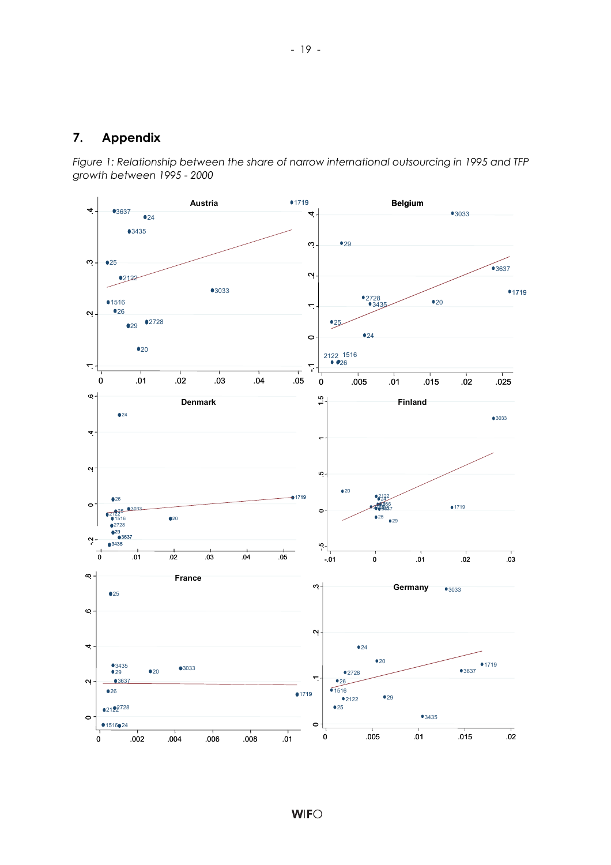#### **7. Appendix**

*Figure 1: Relationship between the share of narrow international outsourcing in 1995 and TFP growth between 1995 - 2000* 

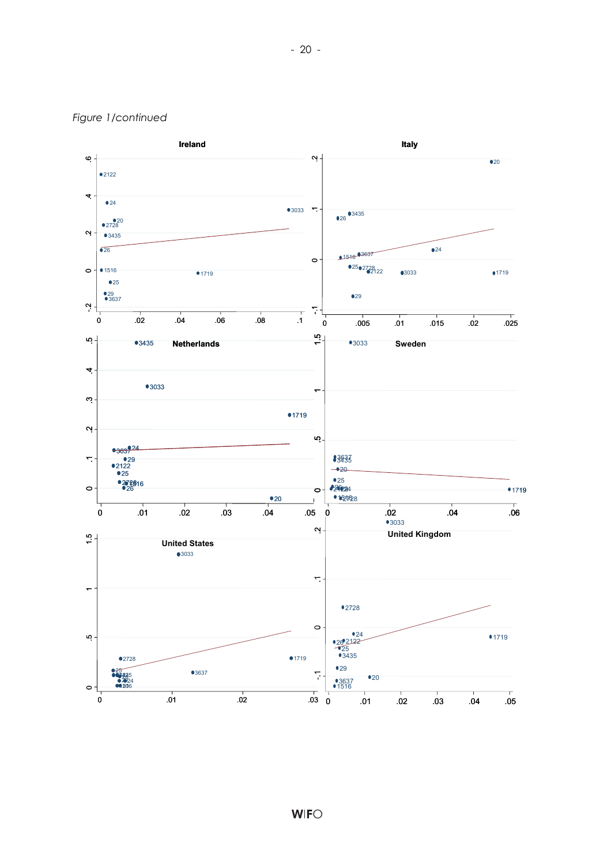#### *Figure 1/continued*